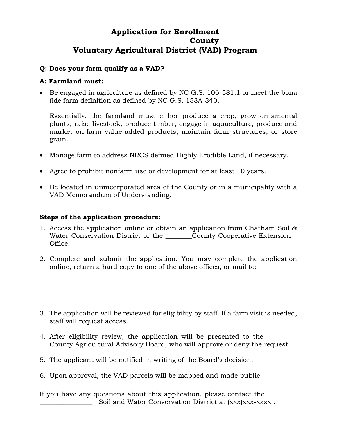# **Application for Enrollment \_\_\_\_\_\_\_\_\_\_\_\_\_\_\_\_\_\_\_ County Voluntary Agricultural District (VAD) Program**

## **Q: Does your farm qualify as a VAD?**

## **A: Farmland must:**

 Be engaged in agriculture as defined by NC G.S. 106-581.1 or meet the bona fide farm definition as defined by NC G.S. 153A-340.

Essentially, the farmland must either produce a crop, grow ornamental plants, raise livestock, produce timber, engage in aquaculture, produce and market on-farm value-added products, maintain farm structures, or store grain.

- Manage farm to address NRCS defined Highly Erodible Land, if necessary.
- Agree to prohibit nonfarm use or development for at least 10 years.
- Be located in unincorporated area of the County or in a municipality with a VAD Memorandum of Understanding.

## **Steps of the application procedure:**

- 1. Access the application online or obtain an application from Chatham Soil & Water Conservation District or the County Cooperative Extension Office.
- 2. Complete and submit the application. You may complete the application online, return a hard copy to one of the above offices, or mail to:
- 3. The application will be reviewed for eligibility by staff. If a farm visit is needed, staff will request access.
- 4. After eligibility review, the application will be presented to the County Agricultural Advisory Board, who will approve or deny the request.
- 5. The applicant will be notified in writing of the Board's decision.
- 6. Upon approval, the VAD parcels will be mapped and made public.

If you have any questions about this application, please contact the \_\_\_\_\_\_\_\_\_\_\_\_\_\_\_\_ Soil and Water Conservation District at (xxx)xxx-xxxx .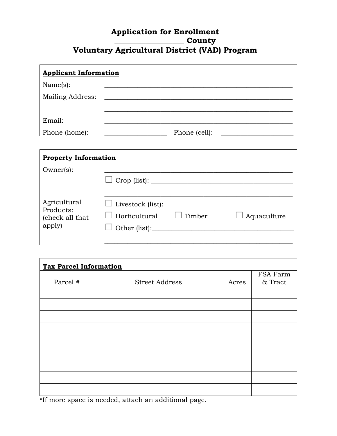# **Application for Enrollment \_\_\_\_\_\_\_\_\_\_\_\_\_\_\_\_\_\_ County Voluntary Agricultural District (VAD) Program**

| <b>Applicant Information</b> |               |  |  |  |
|------------------------------|---------------|--|--|--|
| Name(s):                     |               |  |  |  |
| Mailing Address:             |               |  |  |  |
| Email:                       |               |  |  |  |
| Phone (home):                | Phone (cell): |  |  |  |

| <b>Property Information</b>                            |                                                  |               |                    |  |
|--------------------------------------------------------|--------------------------------------------------|---------------|--------------------|--|
| $Owner(s)$ :                                           |                                                  |               |                    |  |
| Agricultural<br>Products:<br>(check all that<br>apply) | $\Box$ Livestock (list):<br>$\Box$ Horticultural | $\Box$ Timber | $\Box$ Aquaculture |  |

| <b>Tax Parcel Information</b> |                       |       |          |  |
|-------------------------------|-----------------------|-------|----------|--|
|                               |                       |       | FSA Farm |  |
| Parcel #                      | <b>Street Address</b> | Acres | & Tract  |  |
|                               |                       |       |          |  |
|                               |                       |       |          |  |
|                               |                       |       |          |  |
|                               |                       |       |          |  |
|                               |                       |       |          |  |
|                               |                       |       |          |  |
|                               |                       |       |          |  |
|                               |                       |       |          |  |
|                               |                       |       |          |  |

\*If more space is needed, attach an additional page.